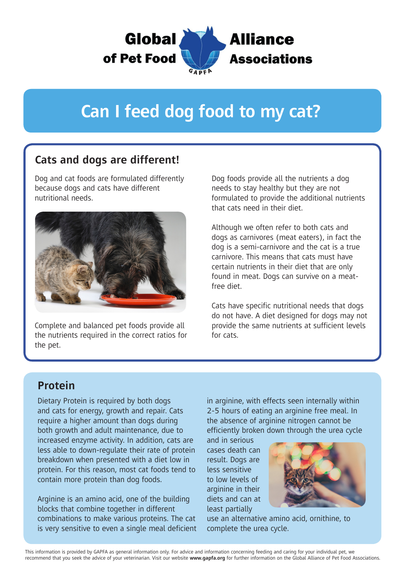

# **Can I feed dog food to my cat?**

## **Cats and dogs are different!**

Dog and cat foods are formulated differently because dogs and cats have different nutritional needs.



Complete and balanced pet foods provide all the nutrients required in the correct ratios for the pet.

Dog foods provide all the nutrients a dog needs to stay healthy but they are not formulated to provide the additional nutrients that cats need in their diet.

Although we often refer to both cats and dogs as carnivores (meat eaters), in fact the dog is a semi-carnivore and the cat is a true carnivore. This means that cats must have certain nutrients in their diet that are only found in meat. Dogs can survive on a meatfree diet.

Cats have specific nutritional needs that dogs do not have. A diet designed for dogs may not provide the same nutrients at sufficient levels for cats.

### **Protein**

Dietary Protein is required by both dogs and cats for energy, growth and repair. Cats require a higher amount than dogs during both growth and adult maintenance, due to increased enzyme activity. In addition, cats are less able to down-regulate their rate of protein breakdown when presented with a diet low in protein. For this reason, most cat foods tend to contain more protein than dog foods.

Arginine is an amino acid, one of the building blocks that combine together in different combinations to make various proteins. The cat is very sensitive to even a single meal deficient in arginine, with effects seen internally within 2-5 hours of eating an arginine free meal. In the absence of arginine nitrogen cannot be efficiently broken down through the urea cycle

and in serious cases death can result. Dogs are less sensitive to low levels of arginine in their diets and can at least partially



use an alternative amino acid, ornithine, to complete the urea cycle.